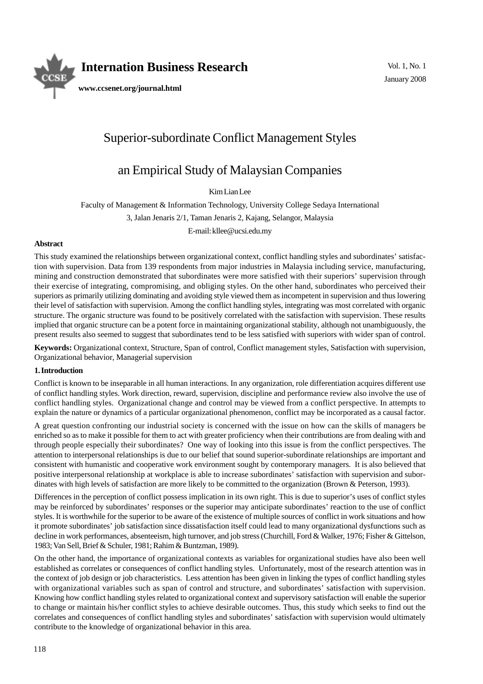

# Superior-subordinate Conflict Management Styles

# an Empirical Study of Malaysian Companies

Kim Lian Lee

Faculty of Management & Information Technology, University College Sedaya International

3, Jalan Jenaris 2/1, Taman Jenaris 2, Kajang, Selangor, Malaysia

E-mail: kllee@ucsi.edu.my

## **Abstract**

This study examined the relationships between organizational context, conflict handling styles and subordinates' satisfaction with supervision. Data from 139 respondents from major industries in Malaysia including service, manufacturing, mining and construction demonstrated that subordinates were more satisfied with their superiors' supervision through their exercise of integrating, compromising, and obliging styles. On the other hand, subordinates who perceived their superiors as primarily utilizing dominating and avoiding style viewed them as incompetent in supervision and thus lowering their level of satisfaction with supervision. Among the conflict handling styles, integrating was most correlated with organic structure. The organic structure was found to be positively correlated with the satisfaction with supervision. These results implied that organic structure can be a potent force in maintaining organizational stability, although not unambiguously, the present results also seemed to suggest that subordinates tend to be less satisfied with superiors with wider span of control.

**Keywords:** Organizational context, Structure, Span of control, Conflict management styles, Satisfaction with supervision, Organizational behavior, Managerial supervision

## **1. Introduction**

Conflict is known to be inseparable in all human interactions. In any organization, role differentiation acquires different use of conflict handling styles. Work direction, reward, supervision, discipline and performance review also involve the use of conflict handling styles. Organizational change and control may be viewed from a conflict perspective. In attempts to explain the nature or dynamics of a particular organizational phenomenon, conflict may be incorporated as a causal factor.

A great question confronting our industrial society is concerned with the issue on how can the skills of managers be enriched so as to make it possible for them to act with greater proficiency when their contributions are from dealing with and through people especially their subordinates? One way of looking into this issue is from the conflict perspectives. The attention to interpersonal relationships is due to our belief that sound superior-subordinate relationships are important and consistent with humanistic and cooperative work environment sought by contemporary managers. It is also believed that positive interpersonal relationship at workplace is able to increase subordinates' satisfaction with supervision and subordinates with high levels of satisfaction are more likely to be committed to the organization (Brown & Peterson, 1993).

Differences in the perception of conflict possess implication in its own right. This is due to superior's uses of conflict styles may be reinforced by subordinates' responses or the superior may anticipate subordinates' reaction to the use of conflict styles. It is worthwhile for the superior to be aware of the existence of multiple sources of conflict in work situations and how it promote subordinates' job satisfaction since dissatisfaction itself could lead to many organizational dysfunctions such as decline in work performances, absenteeism, high turnover, and job stress (Churchill, Ford & Walker, 1976; Fisher & Gittelson, 1983; Van Sell, Brief & Schuler, 1981; Rahim & Buntzman, 1989).

On the other hand, the importance of organizational contexts as variables for organizational studies have also been well established as correlates or consequences of conflict handling styles. Unfortunately, most of the research attention was in the context of job design or job characteristics. Less attention has been given in linking the types of conflict handling styles with organizational variables such as span of control and structure, and subordinates' satisfaction with supervision. Knowing how conflict handling styles related to organizational context and supervisory satisfaction will enable the superior to change or maintain his/her conflict styles to achieve desirable outcomes. Thus, this study which seeks to find out the correlates and consequences of conflict handling styles and subordinates' satisfaction with supervision would ultimately contribute to the knowledge of organizational behavior in this area.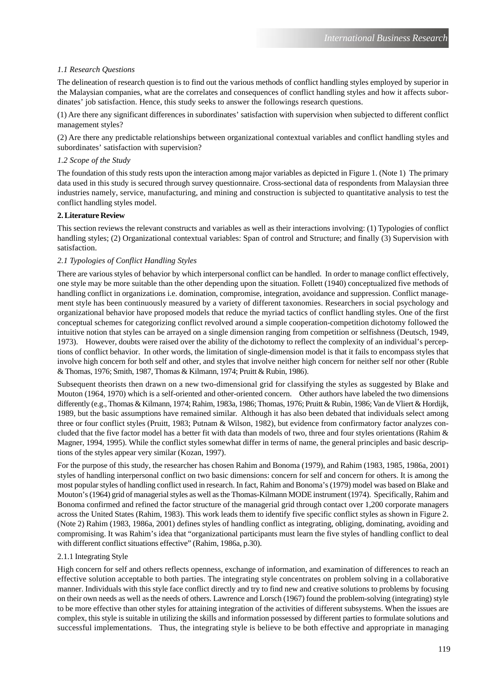# *1.1 Research Questions*

The delineation of research question is to find out the various methods of conflict handling styles employed by superior in the Malaysian companies, what are the correlates and consequences of conflict handling styles and how it affects subordinates' job satisfaction. Hence, this study seeks to answer the followings research questions.

(1) Are there any significant differences in subordinates' satisfaction with supervision when subjected to different conflict management styles?

(2) Are there any predictable relationships between organizational contextual variables and conflict handling styles and subordinates' satisfaction with supervision?

# *1.2 Scope of the Study*

The foundation of this study rests upon the interaction among major variables as depicted in Figure 1. (Note 1) The primary data used in this study is secured through survey questionnaire. Cross-sectional data of respondents from Malaysian three industries namely, service, manufacturing, and mining and construction is subjected to quantitative analysis to test the conflict handling styles model.

# **2. Literature Review**

This section reviews the relevant constructs and variables as well as their interactions involving: (1) Typologies of conflict handling styles; (2) Organizational contextual variables: Span of control and Structure; and finally (3) Supervision with satisfaction.

# *2.1 Typologies of Conflict Handling Styles*

There are various styles of behavior by which interpersonal conflict can be handled. In order to manage conflict effectively, one style may be more suitable than the other depending upon the situation. Follett (1940) conceptualized five methods of handling conflict in organizations i.e. domination, compromise, integration, avoidance and suppression. Conflict management style has been continuously measured by a variety of different taxonomies. Researchers in social psychology and organizational behavior have proposed models that reduce the myriad tactics of conflict handling styles. One of the first conceptual schemes for categorizing conflict revolved around a simple cooperation-competition dichotomy followed the intuitive notion that styles can be arrayed on a single dimension ranging from competition or selfishness (Deutsch, 1949, 1973). However, doubts were raised over the ability of the dichotomy to reflect the complexity of an individual's perceptions of conflict behavior. In other words, the limitation of single-dimension model is that it fails to encompass styles that involve high concern for both self and other, and styles that involve neither high concern for neither self nor other (Ruble & Thomas, 1976; Smith, 1987, Thomas & Kilmann, 1974; Pruitt & Rubin, 1986).

Subsequent theorists then drawn on a new two-dimensional grid for classifying the styles as suggested by Blake and Mouton (1964, 1970) which is a self-oriented and other-oriented concern. Other authors have labeled the two dimensions differently (e.g., Thomas & Kilmann, 1974; Rahim, 1983a, 1986; Thomas, 1976; Pruitt & Rubin, 1986; Van de Vliert & Hordijk, 1989, but the basic assumptions have remained similar. Although it has also been debated that individuals select among three or four conflict styles (Pruitt, 1983; Putnam & Wilson, 1982), but evidence from confirmatory factor analyzes concluded that the five factor model has a better fit with data than models of two, three and four styles orientations (Rahim & Magner, 1994, 1995). While the conflict styles somewhat differ in terms of name, the general principles and basic descriptions of the styles appear very similar (Kozan, 1997).

For the purpose of this study, the researcher has chosen Rahim and Bonoma (1979), and Rahim (1983, 1985, 1986a, 2001) styles of handling interpersonal conflict on two basic dimensions: concern for self and concern for others. It is among the most popular styles of handling conflict used in research. In fact, Rahim and Bonoma's (1979) model was based on Blake and Mouton's (1964) grid of managerial styles as well as the Thomas-Kilmann MODE instrument (1974). Specifically, Rahim and Bonoma confirmed and refined the factor structure of the managerial grid through contact over 1,200 corporate managers across the United States (Rahim, 1983). This work leads them to identify five specific conflict styles as shown in Figure 2. (Note 2) Rahim (1983, 1986a, 2001) defines styles of handling conflict as integrating, obliging, dominating, avoiding and compromising. It was Rahim's idea that "organizational participants must learn the five styles of handling conflict to deal with different conflict situations effective" (Rahim, 1986a, p.30).

## 2.1.1 Integrating Style

High concern for self and others reflects openness, exchange of information, and examination of differences to reach an effective solution acceptable to both parties. The integrating style concentrates on problem solving in a collaborative manner. Individuals with this style face conflict directly and try to find new and creative solutions to problems by focusing on their own needs as well as the needs of others. Lawrence and Lorsch (1967) found the problem-solving (integrating) style to be more effective than other styles for attaining integration of the activities of different subsystems. When the issues are complex, this style is suitable in utilizing the skills and information possessed by different parties to formulate solutions and successful implementations. Thus, the integrating style is believe to be both effective and appropriate in managing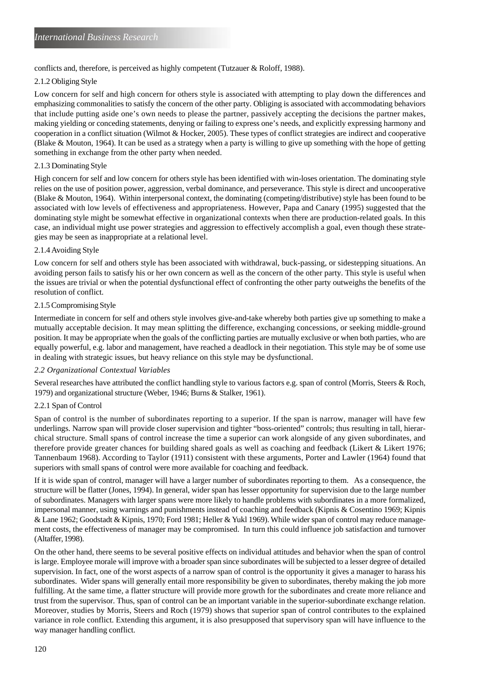conflicts and, therefore, is perceived as highly competent (Tutzauer & Roloff, 1988).

## 2.1.2 Obliging Style

Low concern for self and high concern for others style is associated with attempting to play down the differences and emphasizing commonalities to satisfy the concern of the other party. Obliging is associated with accommodating behaviors that include putting aside one's own needs to please the partner, passively accepting the decisions the partner makes, making yielding or conceding statements, denying or failing to express one's needs, and explicitly expressing harmony and cooperation in a conflict situation (Wilmot & Hocker, 2005). These types of conflict strategies are indirect and cooperative (Blake & Mouton, 1964). It can be used as a strategy when a party is willing to give up something with the hope of getting something in exchange from the other party when needed.

## 2.1.3 Dominating Style

High concern for self and low concern for others style has been identified with win-loses orientation. The dominating style relies on the use of position power, aggression, verbal dominance, and perseverance. This style is direct and uncooperative (Blake & Mouton, 1964). Within interpersonal context, the dominating (competing/distributive) style has been found to be associated with low levels of effectiveness and appropriateness. However, Papa and Canary (1995) suggested that the dominating style might be somewhat effective in organizational contexts when there are production-related goals. In this case, an individual might use power strategies and aggression to effectively accomplish a goal, even though these strategies may be seen as inappropriate at a relational level.

## 2.1.4 Avoiding Style

Low concern for self and others style has been associated with withdrawal, buck-passing, or sidestepping situations. An avoiding person fails to satisfy his or her own concern as well as the concern of the other party. This style is useful when the issues are trivial or when the potential dysfunctional effect of confronting the other party outweighs the benefits of the resolution of conflict.

# 2.1.5 Compromising Style

Intermediate in concern for self and others style involves give-and-take whereby both parties give up something to make a mutually acceptable decision. It may mean splitting the difference, exchanging concessions, or seeking middle-ground position. It may be appropriate when the goals of the conflicting parties are mutually exclusive or when both parties, who are equally powerful, e.g. labor and management, have reached a deadlock in their negotiation. This style may be of some use in dealing with strategic issues, but heavy reliance on this style may be dysfunctional.

## *2.2 Organizational Contextual Variables*

Several researches have attributed the conflict handling style to various factors e.g. span of control (Morris, Steers & Roch, 1979) and organizational structure (Weber, 1946; Burns & Stalker, 1961).

## 2.2.1 Span of Control

Span of control is the number of subordinates reporting to a superior. If the span is narrow, manager will have few underlings. Narrow span will provide closer supervision and tighter "boss-oriented" controls; thus resulting in tall, hierarchical structure. Small spans of control increase the time a superior can work alongside of any given subordinates, and therefore provide greater chances for building shared goals as well as coaching and feedback (Likert & Likert 1976; Tannenbaum 1968). According to Taylor (1911) consistent with these arguments, Porter and Lawler (1964) found that superiors with small spans of control were more available for coaching and feedback.

If it is wide span of control, manager will have a larger number of subordinates reporting to them. As a consequence, the structure will be flatter (Jones, 1994). In general, wider span has lesser opportunity for supervision due to the large number of subordinates. Managers with larger spans were more likely to handle problems with subordinates in a more formalized, impersonal manner, using warnings and punishments instead of coaching and feedback (Kipnis & Cosentino 1969; Kipnis & Lane 1962; Goodstadt & Kipnis, 1970; Ford 1981; Heller & Yukl 1969). While wider span of control may reduce management costs, the effectiveness of manager may be compromised. In turn this could influence job satisfaction and turnover (Altaffer, 1998).

On the other hand, there seems to be several positive effects on individual attitudes and behavior when the span of control is large. Employee morale will improve with a broader span since subordinates will be subjected to a lesser degree of detailed supervision. In fact, one of the worst aspects of a narrow span of control is the opportunity it gives a manager to harass his subordinates. Wider spans will generally entail more responsibility be given to subordinates, thereby making the job more fulfilling. At the same time, a flatter structure will provide more growth for the subordinates and create more reliance and trust from the supervisor. Thus, span of control can be an important variable in the superior-subordinate exchange relation. Moreover, studies by Morris, Steers and Roch (1979) shows that superior span of control contributes to the explained variance in role conflict. Extending this argument, it is also presupposed that supervisory span will have influence to the way manager handling conflict.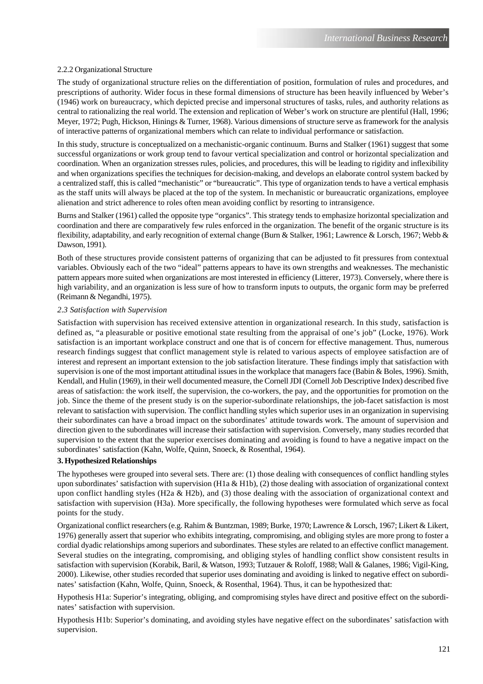## 2.2.2 Organizational Structure

The study of organizational structure relies on the differentiation of position, formulation of rules and procedures, and prescriptions of authority. Wider focus in these formal dimensions of structure has been heavily influenced by Weber's (1946) work on bureaucracy, which depicted precise and impersonal structures of tasks, rules, and authority relations as central to rationalizing the real world. The extension and replication of Weber's work on structure are plentiful (Hall, 1996; Meyer, 1972; Pugh, Hickson, Hinings & Turner, 1968). Various dimensions of structure serve as framework for the analysis of interactive patterns of organizational members which can relate to individual performance or satisfaction.

In this study, structure is conceptualized on a mechanistic-organic continuum. Burns and Stalker (1961) suggest that some successful organizations or work group tend to favour vertical specialization and control or horizontal specialization and coordination. When an organization stresses rules, policies, and procedures, this will be leading to rigidity and inflexibility and when organizations specifies the techniques for decision-making, and develops an elaborate control system backed by a centralized staff, this is called "mechanistic" or "bureaucratic". This type of organization tends to have a vertical emphasis as the staff units will always be placed at the top of the system. In mechanistic or bureaucratic organizations, employee alienation and strict adherence to roles often mean avoiding conflict by resorting to intransigence.

Burns and Stalker (1961) called the opposite type "organics". This strategy tends to emphasize horizontal specialization and coordination and there are comparatively few rules enforced in the organization. The benefit of the organic structure is its flexibility, adaptability, and early recognition of external change (Burn & Stalker, 1961; Lawrence & Lorsch, 1967; Webb & Dawson, 1991).

Both of these structures provide consistent patterns of organizing that can be adjusted to fit pressures from contextual variables. Obviously each of the two "ideal" patterns appears to have its own strengths and weaknesses. The mechanistic pattern appears more suited when organizations are most interested in efficiency (Litterer, 1973). Conversely, where there is high variability, and an organization is less sure of how to transform inputs to outputs, the organic form may be preferred (Reimann & Negandhi, 1975).

#### *2.3 Satisfaction with Supervision*

Satisfaction with supervision has received extensive attention in organizational research. In this study, satisfaction is defined as, "a pleasurable or positive emotional state resulting from the appraisal of one's job" (Locke, 1976). Work satisfaction is an important workplace construct and one that is of concern for effective management. Thus, numerous research findings suggest that conflict management style is related to various aspects of employee satisfaction are of interest and represent an important extension to the job satisfaction literature. These findings imply that satisfaction with supervision is one of the most important attitudinal issues in the workplace that managers face (Babin & Boles, 1996). Smith, Kendall, and Hulin (1969), in their well documented measure, the Cornell JDI (Cornell Job Descriptive Index) described five areas of satisfaction: the work itself, the supervision, the co-workers, the pay, and the opportunities for promotion on the job. Since the theme of the present study is on the superior-subordinate relationships, the job-facet satisfaction is most relevant to satisfaction with supervision. The conflict handling styles which superior uses in an organization in supervising their subordinates can have a broad impact on the subordinates' attitude towards work. The amount of supervision and direction given to the subordinates will increase their satisfaction with supervision. Conversely, many studies recorded that supervision to the extent that the superior exercises dominating and avoiding is found to have a negative impact on the subordinates' satisfaction (Kahn, Wolfe, Quinn, Snoeck, & Rosenthal, 1964).

## **3. Hypothesized Relationships**

The hypotheses were grouped into several sets. There are: (1) those dealing with consequences of conflict handling styles upon subordinates' satisfaction with supervision (H1a & H1b), (2) those dealing with association of organizational context upon conflict handling styles (H2a & H2b), and (3) those dealing with the association of organizational context and satisfaction with supervision (H3a). More specifically, the following hypotheses were formulated which serve as focal points for the study.

Organizational conflict researchers (e.g. Rahim & Buntzman, 1989; Burke, 1970; Lawrence & Lorsch, 1967; Likert & Likert, 1976) generally assert that superior who exhibits integrating, compromising, and obliging styles are more prong to foster a cordial dyadic relationships among superiors and subordinates. These styles are related to an effective conflict management. Several studies on the integrating, compromising, and obliging styles of handling conflict show consistent results in satisfaction with supervision (Korabik, Baril, & Watson, 1993; Tutzauer & Roloff, 1988; Wall & Galanes, 1986; Vigil-King, 2000). Likewise, other studies recorded that superior uses dominating and avoiding is linked to negative effect on subordinates' satisfaction (Kahn, Wolfe, Quinn, Snoeck, & Rosenthal, 1964). Thus, it can be hypothesized that:

Hypothesis H1a: Superior's integrating, obliging, and compromising styles have direct and positive effect on the subordinates' satisfaction with supervision.

Hypothesis H1b: Superior's dominating, and avoiding styles have negative effect on the subordinates' satisfaction with supervision.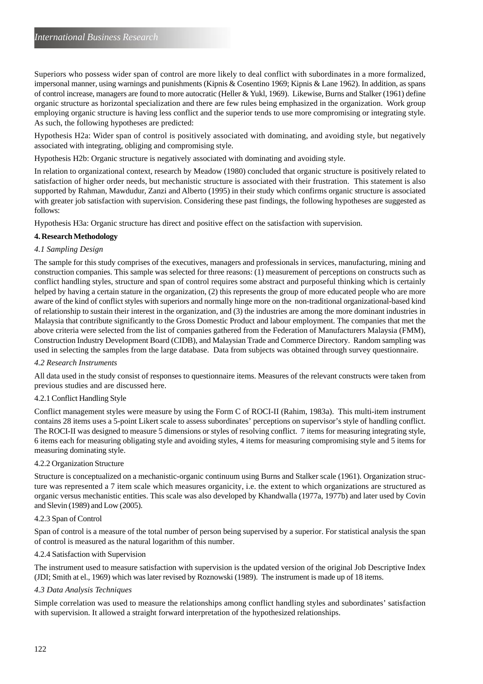Superiors who possess wider span of control are more likely to deal conflict with subordinates in a more formalized, impersonal manner, using warnings and punishments (Kipnis & Cosentino 1969; Kipnis & Lane 1962). In addition, as spans of control increase, managers are found to more autocratic (Heller & Yukl, 1969). Likewise, Burns and Stalker (1961) define organic structure as horizontal specialization and there are few rules being emphasized in the organization. Work group employing organic structure is having less conflict and the superior tends to use more compromising or integrating style. As such, the following hypotheses are predicted:

Hypothesis H2a: Wider span of control is positively associated with dominating, and avoiding style, but negatively associated with integrating, obliging and compromising style.

Hypothesis H2b: Organic structure is negatively associated with dominating and avoiding style.

In relation to organizational context, research by Meadow (1980) concluded that organic structure is positively related to satisfaction of higher order needs, but mechanistic structure is associated with their frustration. This statement is also supported by Rahman, Mawdudur, Zanzi and Alberto (1995) in their study which confirms organic structure is associated with greater job satisfaction with supervision. Considering these past findings, the following hypotheses are suggested as follows:

Hypothesis H3a: Organic structure has direct and positive effect on the satisfaction with supervision.

## **4. Research Methodology**

#### *4.1 Sampling Design*

The sample for this study comprises of the executives, managers and professionals in services, manufacturing, mining and construction companies. This sample was selected for three reasons: (1) measurement of perceptions on constructs such as conflict handling styles, structure and span of control requires some abstract and purposeful thinking which is certainly helped by having a certain stature in the organization, (2) this represents the group of more educated people who are more aware of the kind of conflict styles with superiors and normally hinge more on the non-traditional organizational-based kind of relationship to sustain their interest in the organization, and (3) the industries are among the more dominant industries in Malaysia that contribute significantly to the Gross Domestic Product and labour employment. The companies that met the above criteria were selected from the list of companies gathered from the Federation of Manufacturers Malaysia (FMM), Construction Industry Development Board (CIDB), and Malaysian Trade and Commerce Directory. Random sampling was used in selecting the samples from the large database. Data from subjects was obtained through survey questionnaire.

## *4.2 Research Instruments*

All data used in the study consist of responses to questionnaire items. Measures of the relevant constructs were taken from previous studies and are discussed here.

## 4.2.1 Conflict Handling Style

Conflict management styles were measure by using the Form C of ROCI-II (Rahim, 1983a). This multi-item instrument contains 28 items uses a 5-point Likert scale to assess subordinates' perceptions on supervisor's style of handling conflict. The ROCI-II was designed to measure 5 dimensions or styles of resolving conflict. 7 items for measuring integrating style, 6 items each for measuring obligating style and avoiding styles, 4 items for measuring compromising style and 5 items for measuring dominating style.

#### 4.2.2 Organization Structure

Structure is conceptualized on a mechanistic-organic continuum using Burns and Stalker scale (1961). Organization structure was represented a 7 item scale which measures organicity, i.e. the extent to which organizations are structured as organic versus mechanistic entities. This scale was also developed by Khandwalla (1977a, 1977b) and later used by Covin and Slevin (1989) and Low (2005).

#### 4.2.3 Span of Control

Span of control is a measure of the total number of person being supervised by a superior. For statistical analysis the span of control is measured as the natural logarithm of this number.

## 4.2.4 Satisfaction with Supervision

The instrument used to measure satisfaction with supervision is the updated version of the original Job Descriptive Index (JDI; Smith at el., 1969) which was later revised by Roznowski (1989). The instrument is made up of 18 items.

## *4.3 Data Analysis Techniques*

Simple correlation was used to measure the relationships among conflict handling styles and subordinates' satisfaction with supervision. It allowed a straight forward interpretation of the hypothesized relationships.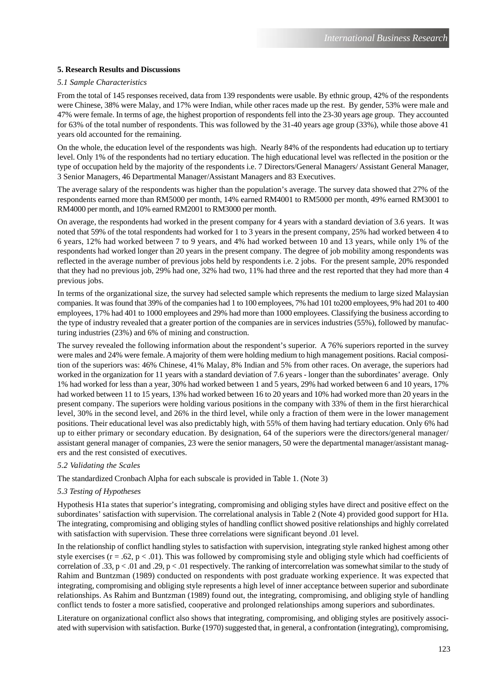# **5. Research Results and Discussions**

#### *5.1 Sample Characteristics*

From the total of 145 responses received, data from 139 respondents were usable. By ethnic group, 42% of the respondents were Chinese, 38% were Malay, and 17% were Indian, while other races made up the rest. By gender, 53% were male and 47% were female. In terms of age, the highest proportion of respondents fell into the 23-30 years age group. They accounted for 63% of the total number of respondents. This was followed by the 31-40 years age group (33%), while those above 41 years old accounted for the remaining.

On the whole, the education level of the respondents was high. Nearly 84% of the respondents had education up to tertiary level. Only 1% of the respondents had no tertiary education. The high educational level was reflected in the position or the type of occupation held by the majority of the respondents i.e. 7 Directors/General Managers/ Assistant General Manager, 3 Senior Managers, 46 Departmental Manager/Assistant Managers and 83 Executives.

The average salary of the respondents was higher than the population's average. The survey data showed that 27% of the respondents earned more than RM5000 per month, 14% earned RM4001 to RM5000 per month, 49% earned RM3001 to RM4000 per month, and 10% earned RM2001 to RM3000 per month.

On average, the respondents had worked in the present company for 4 years with a standard deviation of 3.6 years. It was noted that 59% of the total respondents had worked for 1 to 3 years in the present company, 25% had worked between 4 to 6 years, 12% had worked between 7 to 9 years, and 4% had worked between 10 and 13 years, while only 1% of the respondents had worked longer than 20 years in the present company. The degree of job mobility among respondents was reflected in the average number of previous jobs held by respondents i.e. 2 jobs. For the present sample, 20% responded that they had no previous job, 29% had one, 32% had two, 11% had three and the rest reported that they had more than 4 previous jobs.

In terms of the organizational size, the survey had selected sample which represents the medium to large sized Malaysian companies. It was found that 39% of the companies had 1 to 100 employees, 7% had 101 to200 employees, 9% had 201 to 400 employees, 17% had 401 to 1000 employees and 29% had more than 1000 employees. Classifying the business according to the type of industry revealed that a greater portion of the companies are in services industries (55%), followed by manufacturing industries (23%) and 6% of mining and construction.

The survey revealed the following information about the respondent's superior. A 76% superiors reported in the survey were males and 24% were female. A majority of them were holding medium to high management positions. Racial composition of the superiors was: 46% Chinese, 41% Malay, 8% Indian and 5% from other races. On average, the superiors had worked in the organization for 11 years with a standard deviation of 7.6 years - longer than the subordinates' average. Only 1% had worked for less than a year, 30% had worked between 1 and 5 years, 29% had worked between 6 and 10 years, 17% had worked between 11 to 15 years, 13% had worked between 16 to 20 years and 10% had worked more than 20 years in the present company. The superiors were holding various positions in the company with 33% of them in the first hierarchical level, 30% in the second level, and 26% in the third level, while only a fraction of them were in the lower management positions. Their educational level was also predictably high, with 55% of them having had tertiary education. Only 6% had up to either primary or secondary education. By designation, 64 of the superiors were the directors/general manager/ assistant general manager of companies, 23 were the senior managers, 50 were the departmental manager/assistant managers and the rest consisted of executives.

## *5.2 Validating the Scales*

The standardized Cronbach Alpha for each subscale is provided in Table 1. (Note 3)

#### *5.3 Testing of Hypotheses*

Hypothesis H1a states that superior's integrating, compromising and obliging styles have direct and positive effect on the subordinates' satisfaction with supervision. The correlational analysis in Table 2 (Note 4) provided good support for H1a. The integrating, compromising and obliging styles of handling conflict showed positive relationships and highly correlated with satisfaction with supervision. These three correlations were significant beyond .01 level.

In the relationship of conflict handling styles to satisfaction with supervision, integrating style ranked highest among other style exercises ( $r = .62$ ,  $p < .01$ ). This was followed by compromising style and obliging style which had coefficients of correlation of .33,  $p < 01$  and .29,  $p < 01$  respectively. The ranking of intercorrelation was somewhat similar to the study of Rahim and Buntzman (1989) conducted on respondents with post graduate working experience. It was expected that integrating, compromising and obliging style represents a high level of inner acceptance between superior and subordinate relationships. As Rahim and Buntzman (1989) found out, the integrating, compromising, and obliging style of handling conflict tends to foster a more satisfied, cooperative and prolonged relationships among superiors and subordinates.

Literature on organizational conflict also shows that integrating, compromising, and obliging styles are positively associated with supervision with satisfaction. Burke (1970) suggested that, in general, a confrontation (integrating), compromising,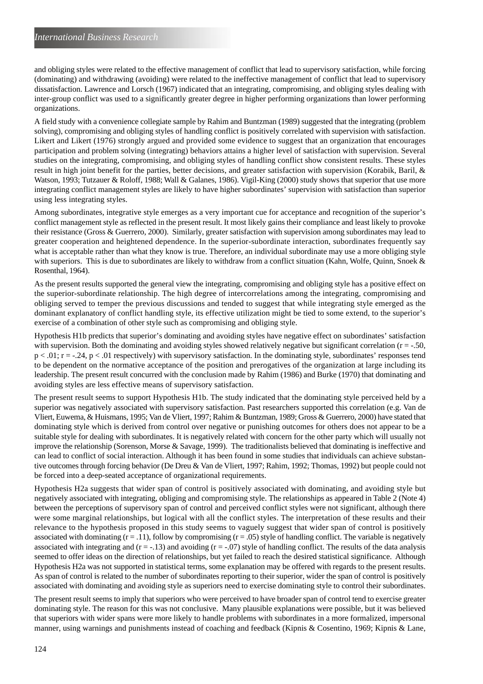and obliging styles were related to the effective management of conflict that lead to supervisory satisfaction, while forcing (dominating) and withdrawing (avoiding) were related to the ineffective management of conflict that lead to supervisory dissatisfaction. Lawrence and Lorsch (1967) indicated that an integrating, compromising, and obliging styles dealing with inter-group conflict was used to a significantly greater degree in higher performing organizations than lower performing organizations.

A field study with a convenience collegiate sample by Rahim and Buntzman (1989) suggested that the integrating (problem solving), compromising and obliging styles of handling conflict is positively correlated with supervision with satisfaction. Likert and Likert (1976) strongly argued and provided some evidence to suggest that an organization that encourages participation and problem solving (integrating) behaviors attains a higher level of satisfaction with supervision. Several studies on the integrating, compromising, and obliging styles of handling conflict show consistent results. These styles result in high joint benefit for the parties, better decisions, and greater satisfaction with supervision (Korabik, Baril, & Watson, 1993; Tutzauer & Roloff, 1988; Wall & Galanes, 1986). Vigil-King (2000) study shows that superior that use more integrating conflict management styles are likely to have higher subordinates' supervision with satisfaction than superior using less integrating styles.

Among subordinates, integrative style emerges as a very important cue for acceptance and recognition of the superior's conflict management style as reflected in the present result. It most likely gains their compliance and least likely to provoke their resistance (Gross & Guerrero, 2000). Similarly, greater satisfaction with supervision among subordinates may lead to greater cooperation and heightened dependence. In the superior-subordinate interaction, subordinates frequently say what is acceptable rather than what they know is true. Therefore, an individual subordinate may use a more obliging style with superiors. This is due to subordinates are likely to withdraw from a conflict situation (Kahn, Wolfe, Quinn, Snoek & Rosenthal, 1964).

As the present results supported the general view the integrating, compromising and obliging style has a positive effect on the superior-subordinate relationship. The high degree of intercorrelations among the integrating, compromising and obliging served to temper the previous discussions and tended to suggest that while integrating style emerged as the dominant explanatory of conflict handling style, its effective utilization might be tied to some extend, to the superior's exercise of a combination of other style such as compromising and obliging style.

Hypothesis H1b predicts that superior's dominating and avoiding styles have negative effect on subordinates' satisfaction with supervision. Both the dominating and avoiding styles showed relatively negative but significant correlation  $(r = -.50)$ ,  $p < .01$ ;  $r = -.24$ ,  $p < .01$  respectively) with supervisory satisfaction. In the dominating style, subordinates' responses tend to be dependent on the normative acceptance of the position and prerogatives of the organization at large including its leadership. The present result concurred with the conclusion made by Rahim (1986) and Burke (1970) that dominating and avoiding styles are less effective means of supervisory satisfaction.

The present result seems to support Hypothesis H1b. The study indicated that the dominating style perceived held by a superior was negatively associated with supervisory satisfaction. Past researchers supported this correlation (e.g. Van de Vliert, Euwema, & Huismans, 1995; Van de Vliert, 1997; Rahim & Buntzman, 1989; Gross & Guerrero, 2000) have stated that dominating style which is derived from control over negative or punishing outcomes for others does not appear to be a suitable style for dealing with subordinates. It is negatively related with concern for the other party which will usually not improve the relationship (Sorenson, Morse & Savage, 1999). The traditionalists believed that dominating is ineffective and can lead to conflict of social interaction. Although it has been found in some studies that individuals can achieve substantive outcomes through forcing behavior (De Dreu & Van de Vliert, 1997; Rahim, 1992; Thomas, 1992) but people could not be forced into a deep-seated acceptance of organizational requirements.

Hypothesis H2a suggests that wider span of control is positively associated with dominating, and avoiding style but negatively associated with integrating, obliging and compromising style. The relationships as appeared in Table 2 (Note 4) between the perceptions of supervisory span of control and perceived conflict styles were not significant, although there were some marginal relationships, but logical with all the conflict styles. The interpretation of these results and their relevance to the hypothesis proposed in this study seems to vaguely suggest that wider span of control is positively associated with dominating  $(r = .11)$ , follow by compromising  $(r = .05)$  style of handling conflict. The variable is negatively associated with integrating and  $(r = -13)$  and avoiding  $(r = -07)$  style of handling conflict. The results of the data analysis seemed to offer ideas on the direction of relationships, but yet failed to reach the desired statistical significance. Although Hypothesis H2a was not supported in statistical terms, some explanation may be offered with regards to the present results. As span of control is related to the number of subordinates reporting to their superior, wider the span of control is positively associated with dominating and avoiding style as superiors need to exercise dominating style to control their subordinates.

The present result seems to imply that superiors who were perceived to have broader span of control tend to exercise greater dominating style. The reason for this was not conclusive. Many plausible explanations were possible, but it was believed that superiors with wider spans were more likely to handle problems with subordinates in a more formalized, impersonal manner, using warnings and punishments instead of coaching and feedback (Kipnis & Cosentino, 1969; Kipnis & Lane,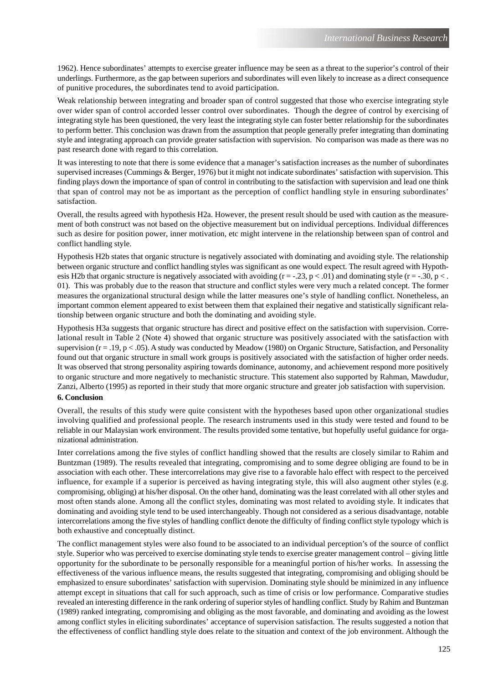1962). Hence subordinates' attempts to exercise greater influence may be seen as a threat to the superior's control of their underlings. Furthermore, as the gap between superiors and subordinates will even likely to increase as a direct consequence of punitive procedures, the subordinates tend to avoid participation.

Weak relationship between integrating and broader span of control suggested that those who exercise integrating style over wider span of control accorded lesser control over subordinates. Though the degree of control by exercising of integrating style has been questioned, the very least the integrating style can foster better relationship for the subordinates to perform better. This conclusion was drawn from the assumption that people generally prefer integrating than dominating style and integrating approach can provide greater satisfaction with supervision. No comparison was made as there was no past research done with regard to this correlation.

It was interesting to note that there is some evidence that a manager's satisfaction increases as the number of subordinates supervised increases (Cummings & Berger, 1976) but it might not indicate subordinates' satisfaction with supervision. This finding plays down the importance of span of control in contributing to the satisfaction with supervision and lead one think that span of control may not be as important as the perception of conflict handling style in ensuring subordinates' satisfaction.

Overall, the results agreed with hypothesis H2a. However, the present result should be used with caution as the measurement of both construct was not based on the objective measurement but on individual perceptions. Individual differences such as desire for position power, inner motivation, etc might intervene in the relationship between span of control and conflict handling style.

Hypothesis H2b states that organic structure is negatively associated with dominating and avoiding style. The relationship between organic structure and conflict handling styles was significant as one would expect. The result agreed with Hypothesis H2b that organic structure is negatively associated with avoiding  $(r = -.23, p < .01)$  and dominating style  $(r = -.30, p < .01)$ 01). This was probably due to the reason that structure and conflict styles were very much a related concept. The former measures the organizational structural design while the latter measures one's style of handling conflict. Nonetheless, an important common element appeared to exist between them that explained their negative and statistically significant relationship between organic structure and both the dominating and avoiding style.

Hypothesis H3a suggests that organic structure has direct and positive effect on the satisfaction with supervision. Correlational result in Table 2 (Note 4) showed that organic structure was positively associated with the satisfaction with supervision  $(r = .19, p < .05)$ . A study was conducted by Meadow (1980) on Organic Structure, Satisfaction, and Personality found out that organic structure in small work groups is positively associated with the satisfaction of higher order needs. It was observed that strong personality aspiring towards dominance, autonomy, and achievement respond more positively to organic structure and more negatively to mechanistic structure. This statement also supported by Rahman, Mawdudur, Zanzi, Alberto (1995) as reported in their study that more organic structure and greater job satisfaction with supervision.

## **6. Conclusion**

Overall, the results of this study were quite consistent with the hypotheses based upon other organizational studies involving qualified and professional people. The research instruments used in this study were tested and found to be reliable in our Malaysian work environment. The results provided some tentative, but hopefully useful guidance for organizational administration.

Inter correlations among the five styles of conflict handling showed that the results are closely similar to Rahim and Buntzman (1989). The results revealed that integrating, compromising and to some degree obliging are found to be in association with each other. These intercorrelations may give rise to a favorable halo effect with respect to the perceived influence, for example if a superior is perceived as having integrating style, this will also augment other styles (e.g. compromising, obliging) at his/her disposal. On the other hand, dominating was the least correlated with all other styles and most often stands alone. Among all the conflict styles, dominating was most related to avoiding style. It indicates that dominating and avoiding style tend to be used interchangeably. Though not considered as a serious disadvantage, notable intercorrelations among the five styles of handling conflict denote the difficulty of finding conflict style typology which is both exhaustive and conceptually distinct.

The conflict management styles were also found to be associated to an individual perception's of the source of conflict style. Superior who was perceived to exercise dominating style tends to exercise greater management control – giving little opportunity for the subordinate to be personally responsible for a meaningful portion of his/her works. In assessing the effectiveness of the various influence means, the results suggested that integrating, compromising and obliging should be emphasized to ensure subordinates' satisfaction with supervision. Dominating style should be minimized in any influence attempt except in situations that call for such approach, such as time of crisis or low performance. Comparative studies revealed an interesting difference in the rank ordering of superior styles of handling conflict. Study by Rahim and Buntzman (1989) ranked integrating, compromising and obliging as the most favorable, and dominating and avoiding as the lowest among conflict styles in eliciting subordinates' acceptance of supervision satisfaction. The results suggested a notion that the effectiveness of conflict handling style does relate to the situation and context of the job environment. Although the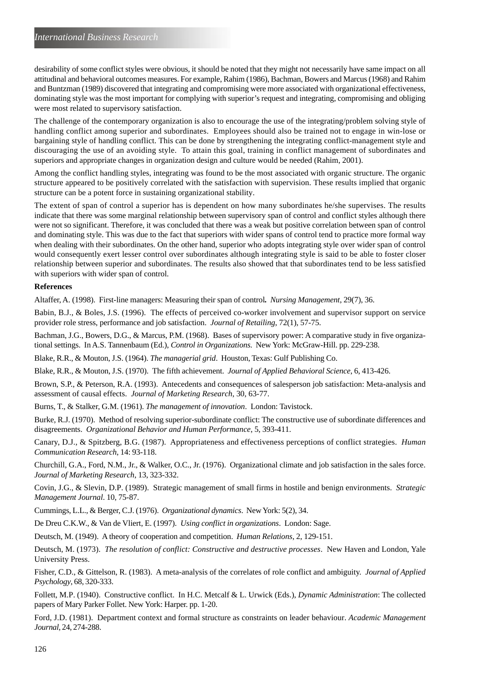desirability of some conflict styles were obvious, it should be noted that they might not necessarily have same impact on all attitudinal and behavioral outcomes measures. For example, Rahim (1986), Bachman, Bowers and Marcus (1968) and Rahim and Buntzman (1989) discovered that integrating and compromising were more associated with organizational effectiveness, dominating style was the most important for complying with superior's request and integrating, compromising and obliging were most related to supervisory satisfaction.

The challenge of the contemporary organization is also to encourage the use of the integrating/problem solving style of handling conflict among superior and subordinates. Employees should also be trained not to engage in win-lose or bargaining style of handling conflict. This can be done by strengthening the integrating conflict-management style and discouraging the use of an avoiding style. To attain this goal, training in conflict management of subordinates and superiors and appropriate changes in organization design and culture would be needed (Rahim, 2001).

Among the conflict handling styles, integrating was found to be the most associated with organic structure. The organic structure appeared to be positively correlated with the satisfaction with supervision. These results implied that organic structure can be a potent force in sustaining organizational stability.

The extent of span of control a superior has is dependent on how many subordinates he/she supervises. The results indicate that there was some marginal relationship between supervisory span of control and conflict styles although there were not so significant. Therefore, it was concluded that there was a weak but positive correlation between span of control and dominating style. This was due to the fact that superiors with wider spans of control tend to practice more formal way when dealing with their subordinates. On the other hand, superior who adopts integrating style over wider span of control would consequently exert lesser control over subordinates although integrating style is said to be able to foster closer relationship between superior and subordinates. The results also showed that that subordinates tend to be less satisfied with superiors with wider span of control.

#### **References**

Altaffer, A. (1998). First-line managers: Measuring their span of control*. Nursing Management*, 29(7), 36.

Babin, B.J., & Boles, J.S. (1996). The effects of perceived co-worker involvement and supervisor support on service provider role stress, performance and job satisfaction. *Journal of Retailing*, 72(1), 57-75.

Bachman, J.G., Bowers, D.G., & Marcus, P.M. (1968). Bases of supervisory power: A comparative study in five organizational settings. In A.S. Tannenbaum (Ed.), *Control in Organizations*. New York: McGraw-Hill. pp. 229-238.

Blake, R.R., & Mouton, J.S. (1964). *The managerial grid*. Houston, Texas: Gulf Publishing Co.

Blake, R.R., & Mouton, J.S. (1970). The fifth achievement. *Journal of Applied Behavioral Science*, 6, 413-426.

Brown, S.P., & Peterson, R.A. (1993). Antecedents and consequences of salesperson job satisfaction: Meta-analysis and assessment of causal effects. *Journal of Marketing Research*, 30, 63-77.

Burns, T., & Stalker, G.M. (1961). *The management of innovation*. London: Tavistock.

Burke, R.J. (1970). Method of resolving superior-subordinate conflict: The constructive use of subordinate differences and disagreements. *Organizational Behavior and Human Performance*, 5, 393-411.

Canary, D.J., & Spitzberg, B.G. (1987). Appropriateness and effectiveness perceptions of conflict strategies. *Human Communication Research*, 14: 93-118.

Churchill, G.A., Ford, N.M., Jr., & Walker, O.C., Jr. (1976). Organizational climate and job satisfaction in the sales force. *Journal of Marketing Research*, 13, 323-332.

Covin, J.G., & Slevin, D.P. (1989). Strategic management of small firms in hostile and benign environments. *Strategic Management Journal*. 10, 75-87.

Cummings, L.L., & Berger, C.J. (1976). *Organizational dynamics*. New York: 5(2), 34.

De Dreu C.K.W., & Van de Vliert, E. (1997). *Using conflict in organizations*. London: Sage.

Deutsch, M. (1949). A theory of cooperation and competition. *Human Relations*, 2, 129-151.

Deutsch, M. (1973). *The resolution of conflict: Constructive and destructive processes*. New Haven and London, Yale University Press.

Fisher, C.D., & Gittelson, R. (1983). A meta-analysis of the correlates of role conflict and ambiguity. *Journal of Applied Psychology*, 68, 320-333.

Follett, M.P. (1940). Constructive conflict. In H.C. Metcalf & L. Urwick (Eds.), *Dynamic Administration*: The collected papers of Mary Parker Follet. New York: Harper. pp. 1-20.

Ford, J.D. (1981). Department context and formal structure as constraints on leader behaviour. *Academic Management Journal,* 24, 274-288.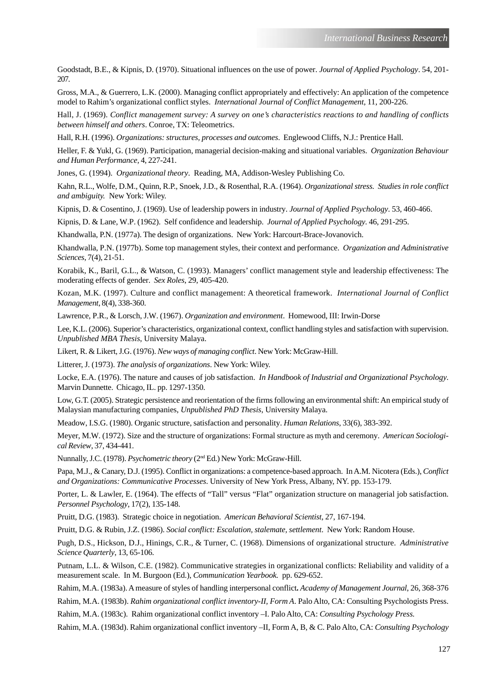Goodstadt, B.E., & Kipnis, D. (1970). Situational influences on the use of power. *Journal of Applied Psychology*. 54, 201- 207.

Gross, M.A., & Guerrero, L.K. (2000). Managing conflict appropriately and effectively: An application of the competence model to Rahim's organizational conflict styles. *International Journal of Conflict Management*, 11, 200-226.

Hall, J. (1969). *Conflict management survey: A survey on one's characteristics reactions to and handling of conflicts between himself and others*. Conroe, TX: Teleometrics.

Hall, R.H. (1996). *Organizations: structures, processes and outcomes*. Englewood Cliffs, N.J.: Prentice Hall.

Heller, F. & Yukl, G. (1969). Participation, managerial decision-making and situational variables. *Organization Behaviour and Human Performance,* 4, 227-241.

Jones, G. (1994). *Organizational theory*. Reading, MA, Addison-Wesley Publishing Co.

Kahn, R.L., Wolfe, D.M., Quinn, R.P., Snoek, J.D., & Rosenthal, R.A. (1964). *Organizational stress. Studies in role conflict and ambiguity.* New York: Wiley.

Kipnis, D. & Cosentino, J. (1969). Use of leadership powers in industry. *Journal of Applied Psychology*. 53, 460-466.

Kipnis, D. & Lane, W.P. (1962). Self confidence and leadership. *Journal of Applied Psychology*. 46, 291-295.

Khandwalla, P.N. (1977a). The design of organizations. New York: Harcourt-Brace-Jovanovich.

Khandwalla, P.N. (1977b). Some top management styles, their context and performance. *Organization and Administrative Sciences*, 7(4), 21-51.

Korabik, K., Baril, G.L., & Watson, C. (1993). Managers' conflict management style and leadership effectiveness: The moderating effects of gender. *Sex Roles*, 29, 405-420.

Kozan, M.K. (1997). Culture and conflict management: A theoretical framework. *International Journal of Conflict Management*, 8(4), 338-360.

Lawrence, P.R., & Lorsch, J.W. (1967). *Organization and environment*. Homewood, III: Irwin-Dorse

Lee, K.L. (2006). Superior's characteristics, organizational context, conflict handling styles and satisfaction with supervision. *Unpublished MBA Thesis*, University Malaya.

Likert, R. & Likert, J.G. (1976). *New ways of managing conflict*. New York: McGraw-Hill.

Litterer, J. (1973). *The analysis of organizations*. New York: Wiley.

Locke, E.A. (1976). The nature and causes of job satisfaction. *In Handbook of Industrial and Organizational Psychology*. Marvin Dunnette. Chicago, IL. pp. 1297-1350.

Low, G.T. (2005). Strategic persistence and reorientation of the firms following an environmental shift: An empirical study of Malaysian manufacturing companies, *Unpublished PhD Thesis*, University Malaya.

Meadow, I.S.G. (1980). Organic structure, satisfaction and personality. *Human Relations*, 33(6), 383-392.

Meyer, M.W. (1972). Size and the structure of organizations: Formal structure as myth and ceremony. *American Sociological Review*, 37, 434-441.

Nunnally, J.C. (1978). *Psychometric theory* (2nd Ed.) New York: McGraw-Hill.

Papa, M.J., & Canary, D.J. (1995). Conflict in organizations: a competence-based approach. In A.M. Nicotera (Eds.), *Conflict and Organizations: Communicative Processes*. University of New York Press, Albany, NY. pp. 153-179.

Porter, L. & Lawler, E. (1964). The effects of "Tall" versus "Flat" organization structure on managerial job satisfaction. *Personnel Psychology*, 17(2), 135-148.

Pruitt, D.G. (1983). Strategic choice in negotiation. *American Behavioral Scientist*, 27, 167-194.

Pruitt, D.G. & Rubin, J.Z. (1986). *Social conflict: Escalation, stalemate, settlement*. New York: Random House.

Pugh, D.S., Hickson, D.J., Hinings, C.R., & Turner, C. (1968). Dimensions of organizational structure. *Administrative Science Quarterly*, 13, 65-106.

Putnam, L.L. & Wilson, C.E. (1982). Communicative strategies in organizational conflicts: Reliability and validity of a measurement scale. In M. Burgoon (Ed.), *Communication Yearbook.* pp. 629-652.

Rahim, M.A. (1983a). A measure of styles of handling interpersonal conflict**.** *Academy of Management Journal*, 26, 368-376

Rahim, M.A. (1983b). *Rahim organizational conflict inventory-II, Form A*. Palo Alto, CA: Consulting Psychologists Press.

Rahim, M.A. (1983c). Rahim organizational conflict inventory –I. Palo Alto, CA: *Consulting Psychology Press.*

Rahim, M.A. (1983d). Rahim organizational conflict inventory –II, Form A, B, & C. Palo Alto, CA: *Consulting Psychology*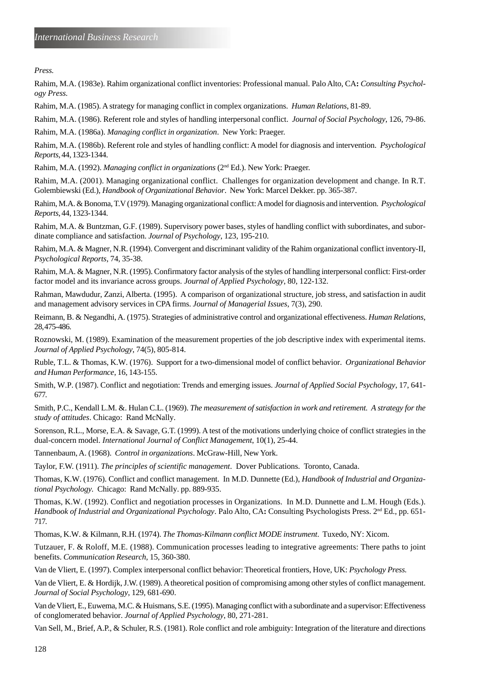*Press.*

Rahim, M.A. (1983e). Rahim organizational conflict inventories: Professional manual. Palo Alto, CA**:** *Consulting Psychology Press.*

Rahim, M.A. (1985). A strategy for managing conflict in complex organizations. *Human Relations*, 81-89.

Rahim, M.A. (1986). Referent role and styles of handling interpersonal conflict. *Journal of Social Psychology*, 126, 79-86. Rahim, M.A. (1986a). *Managing conflict in organization*. New York: Praeger.

Rahim, M.A. (1986b). Referent role and styles of handling conflict: A model for diagnosis and intervention. *Psychological Reports*, 44, 1323-1344.

Rahim, M.A. (1992). *Managing conflict in organizations* (2nd Ed.). New York: Praeger.

Rahim, M.A. (2001). Managing organizational conflict. Challenges for organization development and change. In R.T. Golembiewski (Ed.), *Handbook of Organizational Behavior*. New York: Marcel Dekker. pp. 365-387.

Rahim, M.A. & Bonoma, T.V (1979). Managing organizational conflict: A model for diagnosis and intervention. *Psychological Reports*, 44, 1323-1344.

Rahim, M.A. & Buntzman, G.F. (1989). Supervisory power bases, styles of handling conflict with subordinates, and subordinate compliance and satisfaction. *Journal of Psychology*, 123, 195-210.

Rahim, M.A. & Magner, N.R. (1994). Convergent and discriminant validity of the Rahim organizational conflict inventory-II, *Psychological Reports*, 74, 35-38.

Rahim, M.A. & Magner, N.R. (1995). Confirmatory factor analysis of the styles of handling interpersonal conflict: First-order factor model and its invariance across groups. *Journal of Applied Psychology*, 80, 122-132.

Rahman, Mawdudur, Zanzi, Alberta. (1995). A comparison of organizational structure, job stress, and satisfaction in audit and management advisory services in CPA firms. *Journal of Managerial Issues*, 7(3), 290.

Reimann, B. & Negandhi, A. (1975). Strategies of administrative control and organizational effectiveness. *Human Relations*, 28, 475-486.

Roznowski, M. (1989). Examination of the measurement properties of the job descriptive index with experimental items. *Journal of Applied Psychology*, 74(5), 805-814.

Ruble, T.L. & Thomas, K.W. (1976). Support for a two-dimensional model of conflict behavior. *Organizational Behavior and Human Performance*, 16, 143-155.

Smith, W.P. (1987). Conflict and negotiation: Trends and emerging issues. *Journal of Applied Social Psychology*, 17, 641- 677.

Smith, P.C., Kendall L.M. &. Hulan C.L. (1969). *The measurement of satisfaction in work and retirement. A strategy for the study of attitudes*. Chicago: Rand McNally.

Sorenson, R.L., Morse, E.A. & Savage, G.T. (1999). A test of the motivations underlying choice of conflict strategies in the dual-concern model. *International Journal of Conflict Management*, 10(1), 25-44.

Tannenbaum, A. (1968). *Control in organizations*. McGraw-Hill, New York.

Taylor, F.W. (1911). *The principles of scientific management*. Dover Publications. Toronto, Canada.

Thomas, K.W. (1976). Conflict and conflict management. In M.D. Dunnette (Ed.), *Handbook of Industrial and Organizational Psychology.* Chicago: Rand McNally. pp. 889-935.

Thomas, K.W. (1992). Conflict and negotiation processes in Organizations. In M.D. Dunnette and L.M. Hough (Eds.). *Handbook of Industrial and Organizational Psychology*. Palo Alto, CA**:** Consulting Psychologists Press. 2nd Ed., pp. 651- 717.

Thomas, K.W. & Kilmann, R.H. (1974). *The Thomas-Kilmann conflict MODE instrument*. Tuxedo, NY: Xicom.

Tutzauer, F. & Roloff, M.E. (1988). Communication processes leading to integrative agreements: There paths to joint benefits. *Communication Research*, 15, 360-380.

Van de Vliert, E. (1997). Complex interpersonal conflict behavior: Theoretical frontiers, Hove, UK: *Psychology Press.*

Van de Vliert, E. & Hordijk, J.W. (1989). A theoretical position of compromising among other styles of conflict management. *Journal of Social Psychology*, 129, 681-690.

Van de Vliert, E., Euwema, M.C. & Huismans, S.E. (1995). Managing conflict with a subordinate and a supervisor: Effectiveness of conglomerated behavior. *Journal of Applied Psychology*, 80, 271-281.

Van Sell, M., Brief, A.P., & Schuler, R.S. (1981). Role conflict and role ambiguity: Integration of the literature and directions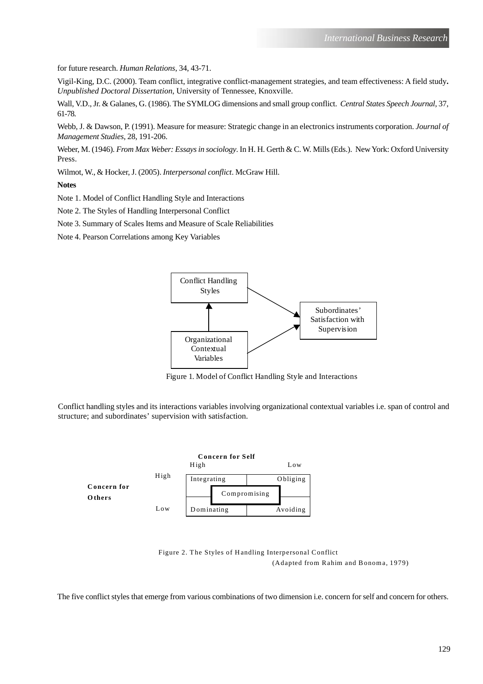for future research. *Human Relations*, 34, 43-71.

Vigil-King, D.C. (2000). Team conflict, integrative conflict-management strategies, and team effectiveness: A field study**.** *Unpublished Doctoral Dissertation*, University of Tennessee, Knoxville.

Wall, V.D., Jr. & Galanes, G. (1986). The SYMLOG dimensions and small group conflict. *Central States Speech Journal*, 37, 61-78.

Webb, J. & Dawson, P. (1991). Measure for measure: Strategic change in an electronics instruments corporation. *Journal of Management Studies*, 28, 191-206.

Weber, M. (1946). *From Max Weber: Essays in sociology*. In H. H. Gerth & C. W. Mills (Eds.). New York: Oxford University Press.

Wilmot, W., & Hocker, J. (2005). *Interpersonal conflict*. McGraw Hill.

#### **Notes**

Note 1. Model of Conflict Handling Style and Interactions

Note 2. The Styles of Handling Interpersonal Conflict

Note 3. Summary of Scales Items and Measure of Scale Reliabilities

Note 4. Pearson Correlations among Key Variables



Figure 1. Model of Conflict Handling Style and Interactions

Conflict handling styles and its interactions variables involving organizational contextual variables i.e. span of control and structure; and subordinates' supervision with satisfaction.



Figure 2. The Styles of Handling Interpersonal Conflict (Adapted from Rahim and Bonoma, 1979)

The five conflict styles that emerge from various combinations of two dimension i.e. concern for self and concern for others.